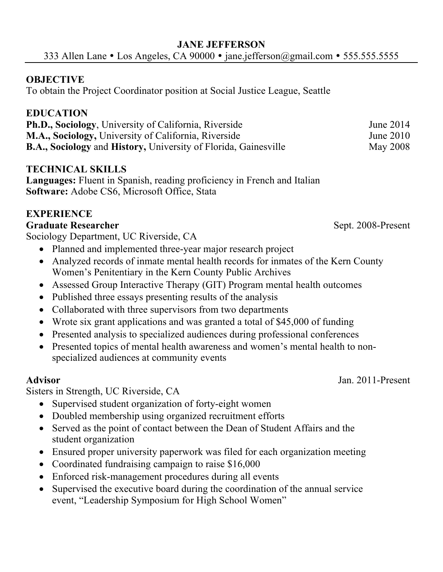# **OBJECTIVE**

To obtain the Project Coordinator position at Social Justice League, Seattle

# **EDUCATION**

| Ph.D., Sociology, University of California, Riverside                  | June 2014       |
|------------------------------------------------------------------------|-----------------|
| M.A., Sociology, University of California, Riverside                   | June $2010$     |
| <b>B.A., Sociology and History, University of Florida, Gainesville</b> | <b>May 2008</b> |

## **TECHNICAL SKILLS**

**Languages:** Fluent in Spanish, reading proficiency in French and Italian **Software:** Adobe CS6, Microsoft Office, Stata

# **EXPERIENCE**

### **Graduate Researcher** Sept. 2008-Present

Sociology Department, UC Riverside, CA

- Planned and implemented three-year major research project
- Analyzed records of inmate mental health records for inmates of the Kern County Women's Penitentiary in the Kern County Public Archives
- Assessed Group Interactive Therapy (GIT) Program mental health outcomes
- Published three essays presenting results of the analysis
- Collaborated with three supervisors from two departments
- Wrote six grant applications and was granted a total of \$45,000 of funding
- Presented analysis to specialized audiences during professional conferences
- Presented topics of mental health awareness and women's mental health to nonspecialized audiences at community events

Sisters in Strength, UC Riverside, CA

- Supervised student organization of forty-eight women
- Doubled membership using organized recruitment efforts
- Served as the point of contact between the Dean of Student Affairs and the student organization
- Ensured proper university paperwork was filed for each organization meeting
- Coordinated fundraising campaign to raise \$16,000
- Enforced risk-management procedures during all events
- Supervised the executive board during the coordination of the annual service event, "Leadership Symposium for High School Women"

**Advisor** Jan. 2011-Present